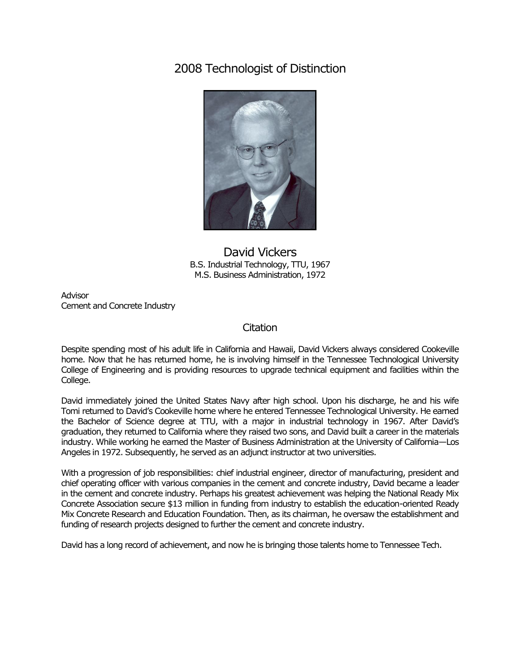## 2008 Technologist of Distinction



## David Vickers B.S. Industrial Technology, TTU, 1967 M.S. Business Administration, 1972

Advisor Cement and Concrete Industry

## **Citation**

Despite spending most of his adult life in California and Hawaii, David Vickers always considered Cookeville home. Now that he has returned home, he is involving himself in the Tennessee Technological University College of Engineering and is providing resources to upgrade technical equipment and facilities within the College.

David immediately joined the United States Navy after high school. Upon his discharge, he and his wife Tomi returned to David's Cookeville home where he entered Tennessee Technological University. He earned the Bachelor of Science degree at TTU, with a major in industrial technology in 1967. After David's graduation, they returned to California where they raised two sons, and David built a career in the materials industry. While working he earned the Master of Business Administration at the University of California—Los Angeles in 1972. Subsequently, he served as an adjunct instructor at two universities.

With a progression of job responsibilities: chief industrial engineer, director of manufacturing, president and chief operating officer with various companies in the cement and concrete industry, David became a leader in the cement and concrete industry. Perhaps his greatest achievement was helping the National Ready Mix Concrete Association secure \$13 million in funding from industry to establish the education-oriented Ready Mix Concrete Research and Education Foundation. Then, as its chairman, he oversaw the establishment and funding of research projects designed to further the cement and concrete industry.

David has a long record of achievement, and now he is bringing those talents home to Tennessee Tech.